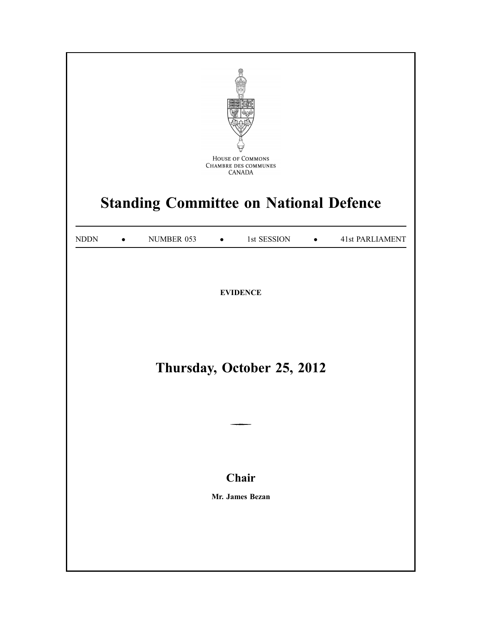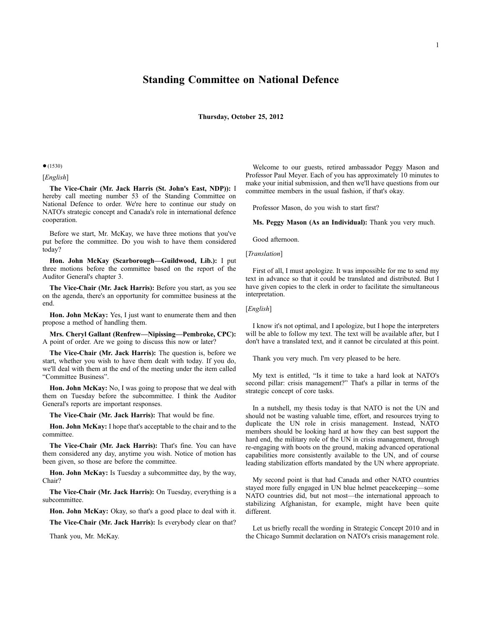# **Standing Committee on National Defence**

**Thursday, October 25, 2012**

#### ●(1530)

## [*English*]

**The Vice-Chair (Mr. Jack Harris (St. John's East, NDP)):** I hereby call meeting number 53 of the Standing Committee on National Defence to order. We're here to continue our study on NATO's strategic concept and Canada's role in international defence cooperation.

Before we start, Mr. McKay, we have three motions that you've put before the committee. Do you wish to have them considered today?

**Hon. John McKay (Scarborough—Guildwood, Lib.):** I put three motions before the committee based on the report of the Auditor General's chapter 3.

**The Vice-Chair (Mr. Jack Harris):** Before you start, as you see on the agenda, there's an opportunity for committee business at the end.

**Hon. John McKay:** Yes, I just want to enumerate them and then propose a method of handling them.

**Mrs. Cheryl Gallant (Renfrew—Nipissing—Pembroke, CPC):** A point of order. Are we going to discuss this now or later?

**The Vice-Chair (Mr. Jack Harris):** The question is, before we start, whether you wish to have them dealt with today. If you do, we'll deal with them at the end of the meeting under the item called "Committee Business".

**Hon. John McKay:** No, I was going to propose that we deal with them on Tuesday before the subcommittee. I think the Auditor General's reports are important responses.

**The Vice-Chair (Mr. Jack Harris):** That would be fine.

**Hon. John McKay:** I hope that's acceptable to the chair and to the committee.

**The Vice-Chair (Mr. Jack Harris):** That's fine. You can have them considered any day, anytime you wish. Notice of motion has been given, so those are before the committee.

**Hon. John McKay:** Is Tuesday a subcommittee day, by the way, Chair?

**The Vice-Chair (Mr. Jack Harris):** On Tuesday, everything is a subcommittee.

**Hon. John McKay:** Okay, so that's a good place to deal with it.

**The Vice-Chair (Mr. Jack Harris):** Is everybody clear on that?

Thank you, Mr. McKay.

Welcome to our guests, retired ambassador Peggy Mason and Professor Paul Meyer. Each of you has approximately 10 minutes to make your initial submission, and then we'll have questions from our committee members in the usual fashion, if that's okay.

Professor Mason, do you wish to start first?

**Ms. Peggy Mason (As an Individual):** Thank you very much.

Good afternoon.

[*Translation*]

First of all, I must apologize. It was impossible for me to send my text in advance so that it could be translated and distributed. But I have given copies to the clerk in order to facilitate the simultaneous interpretation.

[*English*]

I know it's not optimal, and I apologize, but I hope the interpreters will be able to follow my text. The text will be available after, but I don't have a translated text, and it cannot be circulated at this point.

Thank you very much. I'm very pleased to be here.

My text is entitled, "Is it time to take a hard look at NATO's second pillar: crisis management?" That's a pillar in terms of the strategic concept of core tasks.

In a nutshell, my thesis today is that NATO is not the UN and should not be wasting valuable time, effort, and resources trying to duplicate the UN role in crisis management. Instead, NATO members should be looking hard at how they can best support the hard end, the military role of the UN in crisis management, through re-engaging with boots on the ground, making advanced operational capabilities more consistently available to the UN, and of course leading stabilization efforts mandated by the UN where appropriate.

My second point is that had Canada and other NATO countries stayed more fully engaged in UN blue helmet peacekeeping—some NATO countries did, but not most—the international approach to stabilizing Afghanistan, for example, might have been quite different.

Let us briefly recall the wording in Strategic Concept 2010 and in the Chicago Summit declaration on NATO's crisis management role.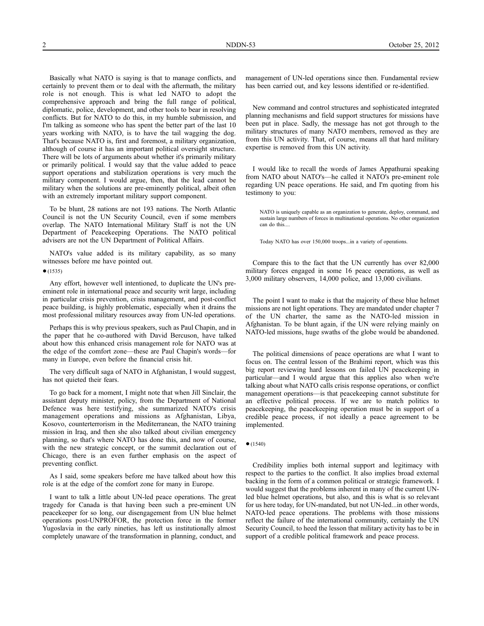Basically what NATO is saying is that to manage conflicts, and certainly to prevent them or to deal with the aftermath, the military role is not enough. This is what led NATO to adopt the comprehensive approach and bring the full range of political, diplomatic, police, development, and other tools to bear in resolving conflicts. But for NATO to do this, in my humble submission, and I'm talking as someone who has spent the better part of the last 10 years working with NATO, is to have the tail wagging the dog. That's because NATO is, first and foremost, a military organization, although of course it has an important political oversight structure. There will be lots of arguments about whether it's primarily military or primarily political. I would say that the value added to peace support operations and stabilization operations is very much the military component. I would argue, then, that the lead cannot be military when the solutions are pre-eminently political, albeit often with an extremely important military support component.

To be blunt, 28 nations are not 193 nations. The North Atlantic Council is not the UN Security Council, even if some members overlap. The NATO International Military Staff is not the UN Department of Peacekeeping Operations. The NATO political advisers are not the UN Department of Political Affairs.

NATO's value added is its military capability, as so many witnesses before me have pointed out.

 $•(1535)$ 

Any effort, however well intentioned, to duplicate the UN's preeminent role in international peace and security writ large, including in particular crisis prevention, crisis management, and post-conflict peace building, is highly problematic, especially when it drains the most professional military resources away from UN-led operations.

Perhaps this is why previous speakers, such as Paul Chapin, and in the paper that he co-authored with David Bercuson, have talked about how this enhanced crisis management role for NATO was at the edge of the comfort zone—these are Paul Chapin's words—for many in Europe, even before the financial crisis hit.

The very difficult saga of NATO in Afghanistan, I would suggest, has not quieted their fears.

To go back for a moment, I might note that when Jill Sinclair, the assistant deputy minister, policy, from the Department of National Defence was here testifying, she summarized NATO's crisis management operations and missions as Afghanistan, Libya, Kosovo, counterterrorism in the Mediterranean, the NATO training mission in Iraq, and then she also talked about civilian emergency planning, so that's where NATO has done this, and now of course, with the new strategic concept, or the summit declaration out of Chicago, there is an even further emphasis on the aspect of preventing conflict.

As I said, some speakers before me have talked about how this role is at the edge of the comfort zone for many in Europe.

I want to talk a little about UN-led peace operations. The great tragedy for Canada is that having been such a pre-eminent UN peacekeeper for so long, our disengagement from UN blue helmet operations post-UNPROFOR, the protection force in the former Yugoslavia in the early nineties, has left us institutionally almost completely unaware of the transformation in planning, conduct, and

management of UN-led operations since then. Fundamental review has been carried out, and key lessons identified or re-identified.

New command and control structures and sophisticated integrated planning mechanisms and field support structures for missions have been put in place. Sadly, the message has not got through to the military structures of many NATO members, removed as they are from this UN activity. That, of course, means all that hard military expertise is removed from this UN activity.

I would like to recall the words of James Appathurai speaking from NATO about NATO's—he called it NATO's pre-eminent role regarding UN peace operations. He said, and I'm quoting from his testimony to you:

NATO is uniquely capable as an organization to generate, deploy, command, and sustain large numbers of forces in multinational operations. No other organization can do this...

Today NATO has over 150,000 troops...in a variety of operations.

Compare this to the fact that the UN currently has over 82,000 military forces engaged in some 16 peace operations, as well as 3,000 military observers, 14,000 police, and 13,000 civilians.

The point I want to make is that the majority of these blue helmet missions are not light operations. They are mandated under chapter 7 of the UN charter, the same as the NATO-led mission in Afghanistan. To be blunt again, if the UN were relying mainly on NATO-led missions, huge swaths of the globe would be abandoned.

The political dimensions of peace operations are what I want to focus on. The central lesson of the Brahimi report, which was this big report reviewing hard lessons on failed UN peacekeeping in particular—and I would argue that this applies also when we're talking about what NATO calls crisis response operations, or conflict management operations—is that peacekeeping cannot substitute for an effective political process. If we are to match politics to peacekeeping, the peacekeeping operation must be in support of a credible peace process, if not ideally a peace agreement to be implemented.

Credibility implies both internal support and legitimacy with respect to the parties to the conflict. It also implies broad external backing in the form of a common political or strategic framework. I would suggest that the problems inherent in many of the current UNled blue helmet operations, but also, and this is what is so relevant for us here today, for UN-mandated, but not UN-led...in other words, NATO-led peace operations. The problems with those missions reflect the failure of the international community, certainly the UN Security Council, to heed the lesson that military activity has to be in support of a credible political framework and peace process.

<sup>●</sup>(1540)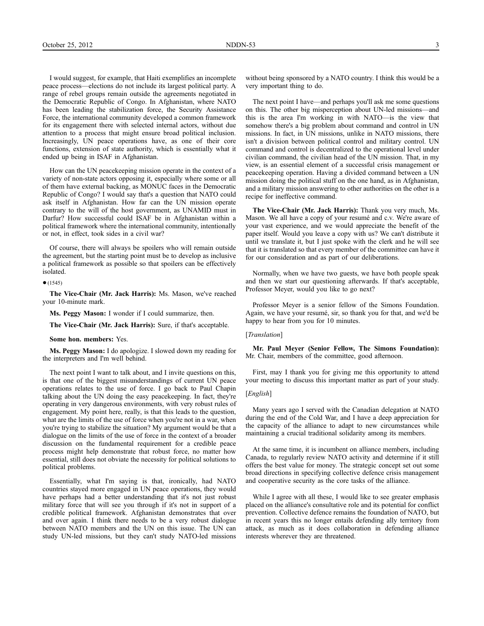I would suggest, for example, that Haiti exemplifies an incomplete peace process—elections do not include its largest political party. A range of rebel groups remain outside the agreements negotiated in the Democratic Republic of Congo. In Afghanistan, where NATO has been leading the stabilization force, the Security Assistance Force, the international community developed a common framework for its engagement there with selected internal actors, without due attention to a process that might ensure broad political inclusion. Increasingly, UN peace operations have, as one of their core functions, extension of state authority, which is essentially what it ended up being in ISAF in Afghanistan.

How can the UN peacekeeping mission operate in the context of a variety of non-state actors opposing it, especially where some or all of them have external backing, as MONUC faces in the Democratic Republic of Congo? I would say that's a question that NATO could ask itself in Afghanistan. How far can the UN mission operate contrary to the will of the host government, as UNAMID must in Darfur? How successful could ISAF be in Afghanistan within a political framework where the international community, intentionally or not, in effect, took sides in a civil war?

Of course, there will always be spoilers who will remain outside the agreement, but the starting point must be to develop as inclusive a political framework as possible so that spoilers can be effectively isolated.

## $(1545)$

**The Vice-Chair (Mr. Jack Harris):** Ms. Mason, we've reached your 10-minute mark.

**Ms. Peggy Mason:** I wonder if I could summarize, then.

**The Vice-Chair (Mr. Jack Harris):** Sure, if that's acceptable.

**Some hon. members:** Yes.

**Ms. Peggy Mason:** I do apologize. I slowed down my reading for the interpreters and I'm well behind.

The next point I want to talk about, and I invite questions on this, is that one of the biggest misunderstandings of current UN peace operations relates to the use of force. I go back to Paul Chapin talking about the UN doing the easy peacekeeping. In fact, they're operating in very dangerous environments, with very robust rules of engagement. My point here, really, is that this leads to the question, what are the limits of the use of force when you're not in a war, when you're trying to stabilize the situation? My argument would be that a dialogue on the limits of the use of force in the context of a broader discussion on the fundamental requirement for a credible peace process might help demonstrate that robust force, no matter how essential, still does not obviate the necessity for political solutions to political problems.

Essentially, what I'm saying is that, ironically, had NATO countries stayed more engaged in UN peace operations, they would have perhaps had a better understanding that it's not just robust military force that will see you through if it's not in support of a credible political framework. Afghanistan demonstrates that over and over again. I think there needs to be a very robust dialogue between NATO members and the UN on this issue. The UN can study UN-led missions, but they can't study NATO-led missions

without being sponsored by a NATO country. I think this would be a very important thing to do.

The next point I have—and perhaps you'll ask me some questions on this. The other big misperception about UN-led missions—and this is the area I'm working in with NATO—is the view that somehow there's a big problem about command and control in UN missions. In fact, in UN missions, unlike in NATO missions, there isn't a division between political control and military control. UN command and control is decentralized to the operational level under civilian command, the civilian head of the UN mission. That, in my view, is an essential element of a successful crisis management or peacekeeping operation. Having a divided command between a UN mission doing the political stuff on the one hand, as in Afghanistan, and a military mission answering to other authorities on the other is a recipe for ineffective command.

**The Vice-Chair (Mr. Jack Harris):** Thank you very much, Ms. Mason. We all have a copy of your resumé and c.v. We're aware of your vast experience, and we would appreciate the benefit of the paper itself. Would you leave a copy with us? We can't distribute it until we translate it, but I just spoke with the clerk and he will see that it is translated so that every member of the committee can have it for our consideration and as part of our deliberations.

Normally, when we have two guests, we have both people speak and then we start our questioning afterwards. If that's acceptable, Professor Meyer, would you like to go next?

Professor Meyer is a senior fellow of the Simons Foundation. Again, we have your resumé, sir, so thank you for that, and we'd be happy to hear from you for 10 minutes.

## [*Translation*]

**Mr. Paul Meyer (Senior Fellow, The Simons Foundation):** Mr. Chair, members of the committee, good afternoon.

First, may I thank you for giving me this opportunity to attend your meeting to discuss this important matter as part of your study.

## [*English*]

Many years ago I served with the Canadian delegation at NATO during the end of the Cold War, and I have a deep appreciation for the capacity of the alliance to adapt to new circumstances while maintaining a crucial traditional solidarity among its members.

At the same time, it is incumbent on alliance members, including Canada, to regularly review NATO activity and determine if it still offers the best value for money. The strategic concept set out some broad directions in specifying collective defence crisis management and cooperative security as the core tasks of the alliance.

While I agree with all these, I would like to see greater emphasis placed on the alliance's consultative role and its potential for conflict prevention. Collective defence remains the foundation of NATO, but in recent years this no longer entails defending ally territory from attack, as much as it does collaboration in defending alliance interests wherever they are threatened.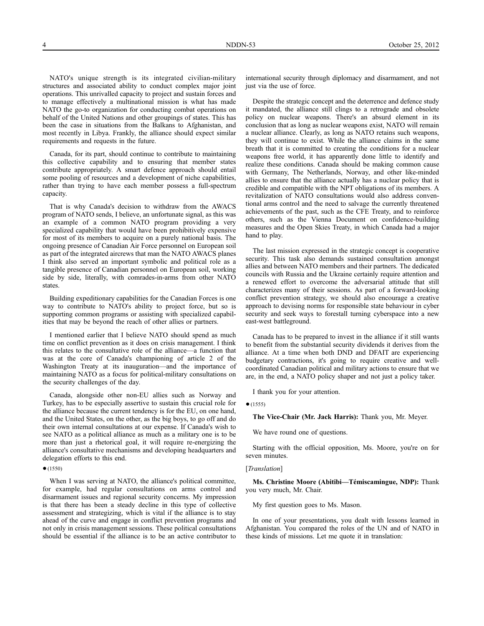NATO's unique strength is its integrated civilian-military structures and associated ability to conduct complex major joint operations. This unrivalled capacity to project and sustain forces and to manage effectively a multinational mission is what has made NATO the go-to organization for conducting combat operations on behalf of the United Nations and other groupings of states. This has been the case in situations from the Balkans to Afghanistan, and most recently in Libya. Frankly, the alliance should expect similar requirements and requests in the future.

Canada, for its part, should continue to contribute to maintaining this collective capability and to ensuring that member states contribute appropriately. A smart defence approach should entail some pooling of resources and a development of niche capabilities, rather than trying to have each member possess a full-spectrum capacity.

That is why Canada's decision to withdraw from the AWACS program of NATO sends, I believe, an unfortunate signal, as this was an example of a common NATO program providing a very specialized capability that would have been prohibitively expensive for most of its members to acquire on a purely national basis. The ongoing presence of Canadian Air Force personnel on European soil as part of the integrated aircrews that man the NATO AWACS planes I think also served an important symbolic and political role as a tangible presence of Canadian personnel on European soil, working side by side, literally, with comrades-in-arms from other NATO states.

Building expeditionary capabilities for the Canadian Forces is one way to contribute to NATO's ability to project force, but so is supporting common programs or assisting with specialized capabilities that may be beyond the reach of other allies or partners.

I mentioned earlier that I believe NATO should spend as much time on conflict prevention as it does on crisis management. I think this relates to the consultative role of the alliance—a function that was at the core of Canada's championing of article 2 of the Washington Treaty at its inauguration—and the importance of maintaining NATO as a focus for political-military consultations on the security challenges of the day.

Canada, alongside other non-EU allies such as Norway and Turkey, has to be especially assertive to sustain this crucial role for the alliance because the current tendency is for the EU, on one hand, and the United States, on the other, as the big boys, to go off and do their own internal consultations at our expense. If Canada's wish to see NATO as a political alliance as much as a military one is to be more than just a rhetorical goal, it will require re-energizing the alliance's consultative mechanisms and developing headquarters and delegation efforts to this end.

## ●(1550)

When I was serving at NATO, the alliance's political committee, for example, had regular consultations on arms control and disarmament issues and regional security concerns. My impression is that there has been a steady decline in this type of collective assessment and strategizing, which is vital if the alliance is to stay ahead of the curve and engage in conflict prevention programs and not only in crisis management sessions. These political consultations should be essential if the alliance is to be an active contributor to

international security through diplomacy and disarmament, and not just via the use of force.

Despite the strategic concept and the deterrence and defence study it mandated, the alliance still clings to a retrograde and obsolete policy on nuclear weapons. There's an absurd element in its conclusion that as long as nuclear weapons exist, NATO will remain a nuclear alliance. Clearly, as long as NATO retains such weapons, they will continue to exist. While the alliance claims in the same breath that it is committed to creating the conditions for a nuclear weapons free world, it has apparently done little to identify and realize these conditions. Canada should be making common cause with Germany, The Netherlands, Norway, and other like-minded allies to ensure that the alliance actually has a nuclear policy that is credible and compatible with the NPT obligations of its members. A revitalization of NATO consultations would also address conventional arms control and the need to salvage the currently threatened achievements of the past, such as the CFE Treaty, and to reinforce others, such as the Vienna Document on confidence-building measures and the Open Skies Treaty, in which Canada had a major hand to play.

The last mission expressed in the strategic concept is cooperative security. This task also demands sustained consultation amongst allies and between NATO members and their partners. The dedicated councils with Russia and the Ukraine certainly require attention and a renewed effort to overcome the adversarial attitude that still characterizes many of their sessions. As part of a forward-looking conflict prevention strategy, we should also encourage a creative approach to devising norms for responsible state behaviour in cyber security and seek ways to forestall turning cyberspace into a new east-west battleground.

Canada has to be prepared to invest in the alliance if it still wants to benefit from the substantial security dividends it derives from the alliance. At a time when both DND and DFAIT are experiencing budgetary contractions, it's going to require creative and wellcoordinated Canadian political and military actions to ensure that we are, in the end, a NATO policy shaper and not just a policy taker.

I thank you for your attention.

 $(1555)$ 

**The Vice-Chair (Mr. Jack Harris):** Thank you, Mr. Meyer.

We have round one of questions.

Starting with the official opposition, Ms. Moore, you're on for seven minutes.

## [*Translation*]

**Ms. Christine Moore (Abitibi—Témiscamingue, NDP):** Thank you very much, Mr. Chair.

My first question goes to Ms. Mason.

In one of your presentations, you dealt with lessons learned in Afghanistan. You compared the roles of the UN and of NATO in these kinds of missions. Let me quote it in translation: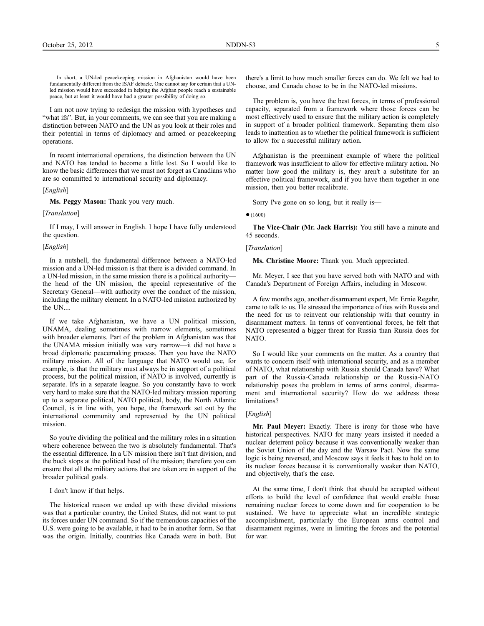In short, a UN-led peacekeeping mission in Afghanistan would have been fundamentally different from the ISAF debacle. One cannot say for certain that a UNled mission would have succeeded in helping the Afghan people reach a sustainable peace, but at least it would have had a greater possibility of doing so.

I am not now trying to redesign the mission with hypotheses and "what ifs". But, in your comments, we can see that you are making a distinction between NATO and the UN as you look at their roles and their potential in terms of diplomacy and armed or peacekeeping operations.

In recent international operations, the distinction between the UN and NATO has tended to become a little lost. So I would like to know the basic differences that we must not forget as Canadians who are so committed to international security and diplomacy.

## [*English*]

**Ms. Peggy Mason:** Thank you very much.

## [*Translation*]

If I may, I will answer in English. I hope I have fully understood the question.

## [*English*]

In a nutshell, the fundamental difference between a NATO-led mission and a UN-led mission is that there is a divided command. In a UN-led mission, in the same mission there is a political authority the head of the UN mission, the special representative of the Secretary General—with authority over the conduct of the mission, including the military element. In a NATO-led mission authorized by the UN....

If we take Afghanistan, we have a UN political mission, UNAMA, dealing sometimes with narrow elements, sometimes with broader elements. Part of the problem in Afghanistan was that the UNAMA mission initially was very narrow—it did not have a broad diplomatic peacemaking process. Then you have the NATO military mission. All of the language that NATO would use, for example, is that the military must always be in support of a political process, but the political mission, if NATO is involved, currently is separate. It's in a separate league. So you constantly have to work very hard to make sure that the NATO-led military mission reporting up to a separate political, NATO political, body, the North Atlantic Council, is in line with, you hope, the framework set out by the international community and represented by the UN political mission.

So you're dividing the political and the military roles in a situation where coherence between the two is absolutely fundamental. That's the essential difference. In a UN mission there isn't that division, and the buck stops at the political head of the mission; therefore you can ensure that all the military actions that are taken are in support of the broader political goals.

I don't know if that helps.

The historical reason we ended up with these divided missions was that a particular country, the United States, did not want to put its forces under UN command. So if the tremendous capacities of the U.S. were going to be available, it had to be in another form. So that was the origin. Initially, countries like Canada were in both. But

there's a limit to how much smaller forces can do. We felt we had to choose, and Canada chose to be in the NATO-led missions.

The problem is, you have the best forces, in terms of professional capacity, separated from a framework where those forces can be most effectively used to ensure that the military action is completely in support of a broader political framework. Separating them also leads to inattention as to whether the political framework is sufficient to allow for a successful military action.

Afghanistan is the preeminent example of where the political framework was insufficient to allow for effective military action. No matter how good the military is, they aren't a substitute for an effective political framework, and if you have them together in one mission, then you better recalibrate.

Sorry I've gone on so long, but it really is—

●(1600)

**The Vice-Chair (Mr. Jack Harris):** You still have a minute and 45 seconds.

#### [*Translation*]

**Ms. Christine Moore:** Thank you. Much appreciated.

Mr. Meyer, I see that you have served both with NATO and with Canada's Department of Foreign Affairs, including in Moscow.

A few months ago, another disarmament expert, Mr. Ernie Regehr, came to talk to us. He stressed the importance of ties with Russia and the need for us to reinvent our relationship with that country in disarmament matters. In terms of conventional forces, he felt that NATO represented a bigger threat for Russia than Russia does for NATO.

So I would like your comments on the matter. As a country that wants to concern itself with international security, and as a member of NATO, what relationship with Russia should Canada have? What part of the Russia-Canada relationship or the Russia-NATO relationship poses the problem in terms of arms control, disarmament and international security? How do we address those limitations?

## [*English*]

**Mr. Paul Meyer:** Exactly. There is irony for those who have historical perspectives. NATO for many years insisted it needed a nuclear deterrent policy because it was conventionally weaker than the Soviet Union of the day and the Warsaw Pact. Now the same logic is being reversed, and Moscow says it feels it has to hold on to its nuclear forces because it is conventionally weaker than NATO, and objectively, that's the case.

At the same time, I don't think that should be accepted without efforts to build the level of confidence that would enable those remaining nuclear forces to come down and for cooperation to be sustained. We have to appreciate what an incredible strategic accomplishment, particularly the European arms control and disarmament regimes, were in limiting the forces and the potential for war.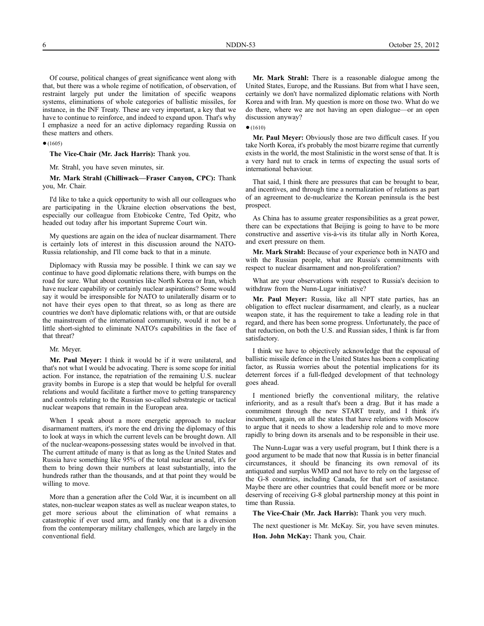Of course, political changes of great significance went along with that, but there was a whole regime of notification, of observation, of restraint largely put under the limitation of specific weapons systems, eliminations of whole categories of ballistic missiles, for instance, in the INF Treaty. These are very important, a key that we have to continue to reinforce, and indeed to expand upon. That's why I emphasize a need for an active diplomacy regarding Russia on these matters and others.

 $•(1605)$ 

**The Vice-Chair (Mr. Jack Harris):** Thank you.

Mr. Strahl, you have seven minutes, sir.

**Mr. Mark Strahl (Chilliwack—Fraser Canyon, CPC):** Thank you, Mr. Chair.

I'd like to take a quick opportunity to wish all our colleagues who are participating in the Ukraine election observations the best, especially our colleague from Etobicoke Centre, Ted Opitz, who headed out today after his important Supreme Court win.

My questions are again on the idea of nuclear disarmament. There is certainly lots of interest in this discussion around the NATO-Russia relationship, and I'll come back to that in a minute.

Diplomacy with Russia may be possible. I think we can say we continue to have good diplomatic relations there, with bumps on the road for sure. What about countries like North Korea or Iran, which have nuclear capability or certainly nuclear aspirations? Some would say it would be irresponsible for NATO to unilaterally disarm or to not have their eyes open to that threat, so as long as there are countries we don't have diplomatic relations with, or that are outside the mainstream of the international community, would it not be a little short-sighted to eliminate NATO's capabilities in the face of that threat?

#### Mr. Meyer.

**Mr. Paul Meyer:** I think it would be if it were unilateral, and that's not what I would be advocating. There is some scope for initial action. For instance, the repatriation of the remaining U.S. nuclear gravity bombs in Europe is a step that would be helpful for overall relations and would facilitate a further move to getting transparency and controls relating to the Russian so-called substrategic or tactical nuclear weapons that remain in the European area.

When I speak about a more energetic approach to nuclear disarmament matters, it's more the end driving the diplomacy of this to look at ways in which the current levels can be brought down. All of the nuclear-weapons-possessing states would be involved in that. The current attitude of many is that as long as the United States and Russia have something like 95% of the total nuclear arsenal, it's for them to bring down their numbers at least substantially, into the hundreds rather than the thousands, and at that point they would be willing to move.

More than a generation after the Cold War, it is incumbent on all states, non-nuclear weapon states as well as nuclear weapon states, to get more serious about the elimination of what remains a catastrophic if ever used arm, and frankly one that is a diversion from the contemporary military challenges, which are largely in the conventional field.

**Mr. Mark Strahl:** There is a reasonable dialogue among the United States, Europe, and the Russians. But from what I have seen, certainly we don't have normalized diplomatic relations with North Korea and with Iran. My question is more on those two. What do we do there, where we are not having an open dialogue—or an open discussion anyway?

 $•(1610)$ 

**Mr. Paul Meyer:** Obviously those are two difficult cases. If you take North Korea, it's probably the most bizarre regime that currently exists in the world, the most Stalinistic in the worst sense of that. It is a very hard nut to crack in terms of expecting the usual sorts of international behaviour.

That said, I think there are pressures that can be brought to bear, and incentives, and through time a normalization of relations as part of an agreement to de-nuclearize the Korean peninsula is the best prospect.

As China has to assume greater responsibilities as a great power, there can be expectations that Beijing is going to have to be more constructive and assertive vis-à-vis its titular ally in North Korea, and exert pressure on them.

**Mr. Mark Strahl:** Because of your experience both in NATO and with the Russian people, what are Russia's commitments with respect to nuclear disarmament and non-proliferation?

What are your observations with respect to Russia's decision to withdraw from the Nunn-Lugar initiative?

**Mr. Paul Meyer:** Russia, like all NPT state parties, has an obligation to effect nuclear disarmament, and clearly, as a nuclear weapon state, it has the requirement to take a leading role in that regard, and there has been some progress. Unfortunately, the pace of that reduction, on both the U.S. and Russian sides, I think is far from satisfactory.

I think we have to objectively acknowledge that the espousal of ballistic missile defence in the United States has been a complicating factor, as Russia worries about the potential implications for its deterrent forces if a full-fledged development of that technology goes ahead.

I mentioned briefly the conventional military, the relative inferiority, and as a result that's been a drag. But it has made a commitment through the new START treaty, and I think it's incumbent, again, on all the states that have relations with Moscow to argue that it needs to show a leadership role and to move more rapidly to bring down its arsenals and to be responsible in their use.

The Nunn-Lugar was a very useful program, but I think there is a good argument to be made that now that Russia is in better financial circumstances, it should be financing its own removal of its antiquated and surplus WMD and not have to rely on the largesse of the G-8 countries, including Canada, for that sort of assistance. Maybe there are other countries that could benefit more or be more deserving of receiving G-8 global partnership money at this point in time than Russia.

**The Vice-Chair (Mr. Jack Harris):** Thank you very much.

The next questioner is Mr. McKay. Sir, you have seven minutes. **Hon. John McKay:** Thank you, Chair.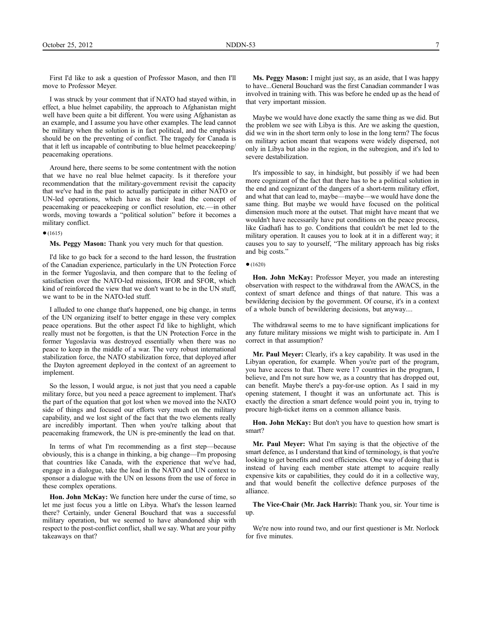First I'd like to ask a question of Professor Mason, and then I'll move to Professor Meyer.

I was struck by your comment that if NATO had stayed within, in effect, a blue helmet capability, the approach to Afghanistan might well have been quite a bit different. You were using Afghanistan as an example, and I assume you have other examples. The lead cannot be military when the solution is in fact political, and the emphasis should be on the preventing of conflict. The tragedy for Canada is that it left us incapable of contributing to blue helmet peacekeeping/ peacemaking operations.

Around here, there seems to be some contentment with the notion that we have no real blue helmet capacity. Is it therefore your recommendation that the military-government revisit the capacity that we've had in the past to actually participate in either NATO or UN-led operations, which have as their lead the concept of peacemaking or peacekeeping or conflict resolution, etc.—in other words, moving towards a "political solution" before it becomes a military conflict.

## $•(1615)$

**Ms. Peggy Mason:** Thank you very much for that question.

I'd like to go back for a second to the hard lesson, the frustration of the Canadian experience, particularly in the UN Protection Force in the former Yugoslavia, and then compare that to the feeling of satisfaction over the NATO-led missions, IFOR and SFOR, which kind of reinforced the view that we don't want to be in the UN stuff, we want to be in the NATO-led stuff.

I alluded to one change that's happened, one big change, in terms of the UN organizing itself to better engage in these very complex peace operations. But the other aspect I'd like to highlight, which really must not be forgotten, is that the UN Protection Force in the former Yugoslavia was destroyed essentially when there was no peace to keep in the middle of a war. The very robust international stabilization force, the NATO stabilization force, that deployed after the Dayton agreement deployed in the context of an agreement to implement.

So the lesson, I would argue, is not just that you need a capable military force, but you need a peace agreement to implement. That's the part of the equation that got lost when we moved into the NATO side of things and focused our efforts very much on the military capability, and we lost sight of the fact that the two elements really are incredibly important. Then when you're talking about that peacemaking framework, the UN is pre-eminently the lead on that.

In terms of what I'm recommending as a first step—because obviously, this is a change in thinking, a big change—I'm proposing that countries like Canada, with the experience that we've had, engage in a dialogue, take the lead in the NATO and UN context to sponsor a dialogue with the UN on lessons from the use of force in these complex operations.

**Hon. John McKay:** We function here under the curse of time, so let me just focus you a little on Libya. What's the lesson learned there? Certainly, under General Bouchard that was a successful military operation, but we seemed to have abandoned ship with respect to the post-conflict conflict, shall we say. What are your pithy takeaways on that?

**Ms. Peggy Mason:** I might just say, as an aside, that I was happy to have...General Bouchard was the first Canadian commander I was involved in training with. This was before he ended up as the head of that very important mission.

Maybe we would have done exactly the same thing as we did. But the problem we see with Libya is this. Are we asking the question, did we win in the short term only to lose in the long term? The focus on military action meant that weapons were widely dispersed, not only in Libya but also in the region, in the subregion, and it's led to severe destabilization.

It's impossible to say, in hindsight, but possibly if we had been more cognizant of the fact that there has to be a political solution in the end and cognizant of the dangers of a short-term military effort, and what that can lead to, maybe—maybe—we would have done the same thing. But maybe we would have focused on the political dimension much more at the outset. That might have meant that we wouldn't have necessarily have put conditions on the peace process, like Gadhafi has to go. Conditions that couldn't be met led to the military operation. It causes you to look at it in a different way; it causes you to say to yourself, "The military approach has big risks and big costs."

**Hon. John McKay:** Professor Meyer, you made an interesting observation with respect to the withdrawal from the AWACS, in the context of smart defence and things of that nature. This was a bewildering decision by the government. Of course, it's in a context of a whole bunch of bewildering decisions, but anyway....

The withdrawal seems to me to have significant implications for any future military missions we might wish to participate in. Am I correct in that assumption?

**Mr. Paul Meyer:** Clearly, it's a key capability. It was used in the Libyan operation, for example. When you're part of the program, you have access to that. There were 17 countries in the program, I believe, and I'm not sure how we, as a country that has dropped out, can benefit. Maybe there's a pay-for-use option. As I said in my opening statement, I thought it was an unfortunate act. This is exactly the direction a smart defence would point you in, trying to procure high-ticket items on a common alliance basis.

**Hon. John McKay:** But don't you have to question how smart is smart?

**Mr. Paul Meyer:** What I'm saying is that the objective of the smart defence, as I understand that kind of terminology, is that you're looking to get benefits and cost efficiencies. One way of doing that is instead of having each member state attempt to acquire really expensive kits or capabilities, they could do it in a collective way, and that would benefit the collective defence purposes of the alliance.

**The Vice-Chair (Mr. Jack Harris):** Thank you, sir. Your time is up.

We're now into round two, and our first questioner is Mr. Norlock for five minutes.

 $•(1620)$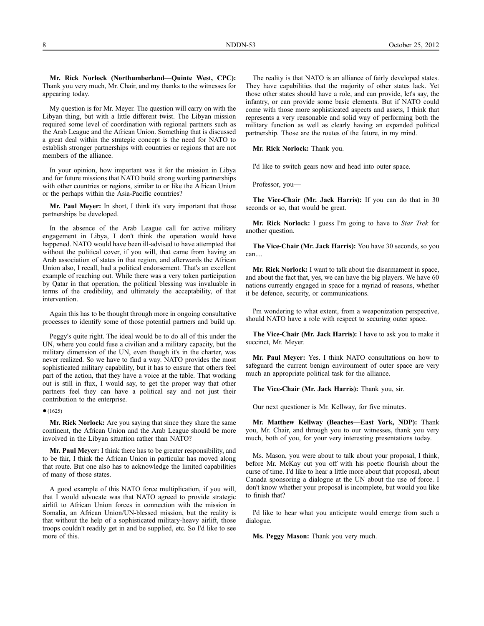**Mr. Rick Norlock (Northumberland—Quinte West, CPC):** Thank you very much, Mr. Chair, and my thanks to the witnesses for appearing today.

My question is for Mr. Meyer. The question will carry on with the Libyan thing, but with a little different twist. The Libyan mission required some level of coordination with regional partners such as the Arab League and the African Union. Something that is discussed a great deal within the strategic concept is the need for NATO to establish stronger partnerships with countries or regions that are not members of the alliance.

In your opinion, how important was it for the mission in Libya and for future missions that NATO build strong working partnerships with other countries or regions, similar to or like the African Union or the perhaps within the Asia-Pacific countries?

**Mr. Paul Meyer:** In short, I think it's very important that those partnerships be developed.

In the absence of the Arab League call for active military engagement in Libya, I don't think the operation would have happened. NATO would have been ill-advised to have attempted that without the political cover, if you will, that came from having an Arab association of states in that region, and afterwards the African Union also, I recall, had a political endorsement. That's an excellent example of reaching out. While there was a very token participation by Qatar in that operation, the political blessing was invaluable in terms of the credibility, and ultimately the acceptability, of that intervention.

Again this has to be thought through more in ongoing consultative processes to identify some of those potential partners and build up.

Peggy's quite right. The ideal would be to do all of this under the UN, where you could fuse a civilian and a military capacity, but the military dimension of the UN, even though it's in the charter, was never realized. So we have to find a way. NATO provides the most sophisticated military capability, but it has to ensure that others feel part of the action, that they have a voice at the table. That working out is still in flux, I would say, to get the proper way that other partners feel they can have a political say and not just their contribution to the enterprise.

 $•(1625)$ 

**Mr. Rick Norlock:** Are you saying that since they share the same continent, the African Union and the Arab League should be more involved in the Libyan situation rather than NATO?

**Mr. Paul Meyer:** I think there has to be greater responsibility, and to be fair, I think the African Union in particular has moved along that route. But one also has to acknowledge the limited capabilities of many of those states.

A good example of this NATO force multiplication, if you will, that I would advocate was that NATO agreed to provide strategic airlift to African Union forces in connection with the mission in Somalia, an African Union/UN-blessed mission, but the reality is that without the help of a sophisticated military-heavy airlift, those troops couldn't readily get in and be supplied, etc. So I'd like to see more of this.

The reality is that NATO is an alliance of fairly developed states. They have capabilities that the majority of other states lack. Yet those other states should have a role, and can provide, let's say, the infantry, or can provide some basic elements. But if NATO could come with those more sophisticated aspects and assets, I think that represents a very reasonable and solid way of performing both the military function as well as clearly having an expanded political partnership. Those are the routes of the future, in my mind.

**Mr. Rick Norlock:** Thank you.

I'd like to switch gears now and head into outer space.

Professor, you—

**The Vice-Chair (Mr. Jack Harris):** If you can do that in 30 seconds or so, that would be great.

**Mr. Rick Norlock:** I guess I'm going to have to *Star Trek* for another question.

**The Vice-Chair (Mr. Jack Harris):** You have 30 seconds, so you can....

**Mr. Rick Norlock:** I want to talk about the disarmament in space, and about the fact that, yes, we can have the big players. We have 60 nations currently engaged in space for a myriad of reasons, whether it be defence, security, or communications.

I'm wondering to what extent, from a weaponization perspective, should NATO have a role with respect to securing outer space.

**The Vice-Chair (Mr. Jack Harris):** I have to ask you to make it succinct, Mr. Meyer.

**Mr. Paul Meyer:** Yes. I think NATO consultations on how to safeguard the current benign environment of outer space are very much an appropriate political task for the alliance.

**The Vice-Chair (Mr. Jack Harris):** Thank you, sir.

Our next questioner is Mr. Kellway, for five minutes.

**Mr. Matthew Kellway (Beaches—East York, NDP):** Thank you, Mr. Chair, and through you to our witnesses, thank you very much, both of you, for your very interesting presentations today.

Ms. Mason, you were about to talk about your proposal, I think, before Mr. McKay cut you off with his poetic flourish about the curse of time. I'd like to hear a little more about that proposal, about Canada sponsoring a dialogue at the UN about the use of force. I don't know whether your proposal is incomplete, but would you like to finish that?

I'd like to hear what you anticipate would emerge from such a dialogue.

**Ms. Peggy Mason:** Thank you very much.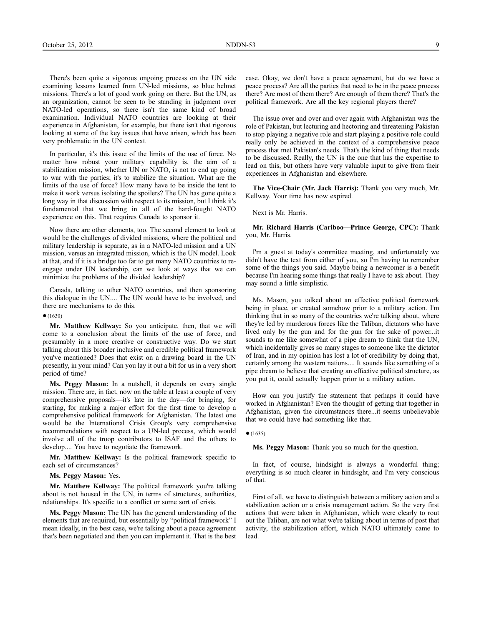There's been quite a vigorous ongoing process on the UN side examining lessons learned from UN-led missions, so blue helmet missions. There's a lot of good work going on there. But the UN, as an organization, cannot be seen to be standing in judgment over NATO-led operations, so there isn't the same kind of broad examination. Individual NATO countries are looking at their experience in Afghanistan, for example, but there isn't that rigorous looking at some of the key issues that have arisen, which has been very problematic in the UN context.

In particular, it's this issue of the limits of the use of force. No matter how robust your military capability is, the aim of a stabilization mission, whether UN or NATO, is not to end up going to war with the parties; it's to stabilize the situation. What are the limits of the use of force? How many have to be inside the tent to make it work versus isolating the spoilers? The UN has gone quite a long way in that discussion with respect to its mission, but I think it's fundamental that we bring in all of the hard-fought NATO experience on this. That requires Canada to sponsor it.

Now there are other elements, too. The second element to look at would be the challenges of divided missions, where the political and military leadership is separate, as in a NATO-led mission and a UN mission, versus an integrated mission, which is the UN model. Look at that, and if it is a bridge too far to get many NATO countries to reengage under UN leadership, can we look at ways that we can minimize the problems of the divided leadership?

Canada, talking to other NATO countries, and then sponsoring this dialogue in the UN.... The UN would have to be involved, and there are mechanisms to do this.

#### $•(1630)$

**Mr. Matthew Kellway:** So you anticipate, then, that we will come to a conclusion about the limits of the use of force, and presumably in a more creative or constructive way. Do we start talking about this broader inclusive and credible political framework you've mentioned? Does that exist on a drawing board in the UN presently, in your mind? Can you lay it out a bit for us in a very short period of time?

**Ms. Peggy Mason:** In a nutshell, it depends on every single mission. There are, in fact, now on the table at least a couple of very comprehensive proposals—it's late in the day—for bringing, for starting, for making a major effort for the first time to develop a comprehensive political framework for Afghanistan. The latest one would be the International Crisis Group's very comprehensive recommendations with respect to a UN-led process, which would involve all of the troop contributors to ISAF and the others to develop.... You have to negotiate the framework.

**Mr. Matthew Kellway:** Is the political framework specific to each set of circumstances?

#### **Ms. Peggy Mason:** Yes.

**Mr. Matthew Kellway:** The political framework you're talking about is not housed in the UN, in terms of structures, authorities, relationships. It's specific to a conflict or some sort of crisis.

**Ms. Peggy Mason:** The UN has the general understanding of the elements that are required, but essentially by "political framework" I mean ideally, in the best case, we're talking about a peace agreement that's been negotiated and then you can implement it. That is the best

case. Okay, we don't have a peace agreement, but do we have a peace process? Are all the parties that need to be in the peace process there? Are most of them there? Are enough of them there? That's the political framework. Are all the key regional players there?

The issue over and over and over again with Afghanistan was the role of Pakistan, but lecturing and hectoring and threatening Pakistan to stop playing a negative role and start playing a positive role could really only be achieved in the context of a comprehensive peace process that met Pakistan's needs. That's the kind of thing that needs to be discussed. Really, the UN is the one that has the expertise to lead on this, but others have very valuable input to give from their experiences in Afghanistan and elsewhere.

**The Vice-Chair (Mr. Jack Harris):** Thank you very much, Mr. Kellway. Your time has now expired.

#### Next is Mr. Harris.

**Mr. Richard Harris (Cariboo—Prince George, CPC):** Thank you, Mr. Harris.

I'm a guest at today's committee meeting, and unfortunately we didn't have the text from either of you, so I'm having to remember some of the things you said. Maybe being a newcomer is a benefit because I'm hearing some things that really I have to ask about. They may sound a little simplistic.

Ms. Mason, you talked about an effective political framework being in place, or created somehow prior to a military action. I'm thinking that in so many of the countries we're talking about, where they're led by murderous forces like the Taliban, dictators who have lived only by the gun and for the gun for the sake of power...it sounds to me like somewhat of a pipe dream to think that the UN, which incidentally gives so many stages to someone like the dictator of Iran, and in my opinion has lost a lot of credibility by doing that, certainly among the western nations.... It sounds like something of a pipe dream to believe that creating an effective political structure, as you put it, could actually happen prior to a military action.

How can you justify the statement that perhaps it could have worked in Afghanistan? Even the thought of getting that together in Afghanistan, given the circumstances there...it seems unbelievable that we could have had something like that.

#### $•(1635)$

**Ms. Peggy Mason:** Thank you so much for the question.

In fact, of course, hindsight is always a wonderful thing; everything is so much clearer in hindsight, and I'm very conscious of that.

First of all, we have to distinguish between a military action and a stabilization action or a crisis management action. So the very first actions that were taken in Afghanistan, which were clearly to rout out the Taliban, are not what we're talking about in terms of post that activity, the stabilization effort, which NATO ultimately came to lead.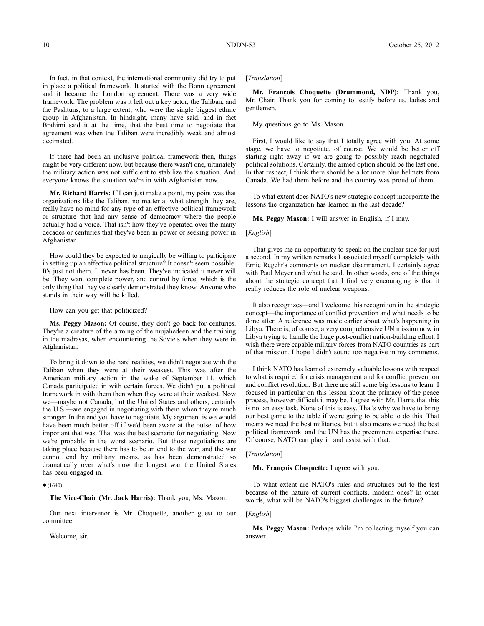In fact, in that context, the international community did try to put in place a political framework. It started with the Bonn agreement and it became the London agreement. There was a very wide framework. The problem was it left out a key actor, the Taliban, and the Pashtuns, to a large extent, who were the single biggest ethnic group in Afghanistan. In hindsight, many have said, and in fact Brahimi said it at the time, that the best time to negotiate that agreement was when the Taliban were incredibly weak and almost decimated.

If there had been an inclusive political framework then, things might be very different now, but because there wasn't one, ultimately the military action was not sufficient to stabilize the situation. And everyone knows the situation we're in with Afghanistan now.

**Mr. Richard Harris:** If I can just make a point, my point was that organizations like the Taliban, no matter at what strength they are, really have no mind for any type of an effective political framework or structure that had any sense of democracy where the people actually had a voice. That isn't how they've operated over the many decades or centuries that they've been in power or seeking power in Afghanistan.

How could they be expected to magically be willing to participate in setting up an effective political structure? It doesn't seem possible. It's just not them. It never has been. They've indicated it never will be. They want complete power, and control by force, which is the only thing that they've clearly demonstrated they know. Anyone who stands in their way will be killed.

How can you get that politicized?

**Ms. Peggy Mason:** Of course, they don't go back for centuries. They're a creature of the arming of the mujahedeen and the training in the madrasas, when encountering the Soviets when they were in Afghanistan.

To bring it down to the hard realities, we didn't negotiate with the Taliban when they were at their weakest. This was after the American military action in the wake of September 11, which Canada participated in with certain forces. We didn't put a political framework in with them then when they were at their weakest. Now we—maybe not Canada, but the United States and others, certainly the U.S.—are engaged in negotiating with them when they're much stronger. In the end you have to negotiate. My argument is we would have been much better off if we'd been aware at the outset of how important that was. That was the best scenario for negotiating. Now we're probably in the worst scenario. But those negotiations are taking place because there has to be an end to the war, and the war cannot end by military means, as has been demonstrated so dramatically over what's now the longest war the United States has been engaged in.

 $•(1640)$ 

**The Vice-Chair (Mr. Jack Harris):** Thank you, Ms. Mason.

Our next intervenor is Mr. Choquette, another guest to our committee.

Welcome, sir.

## [*Translation*]

**Mr. François Choquette (Drummond, NDP):** Thank you, Mr. Chair. Thank you for coming to testify before us, ladies and gentlemen.

My questions go to Ms. Mason.

First, I would like to say that I totally agree with you. At some stage, we have to negotiate, of course. We would be better off starting right away if we are going to possibly reach negotiated political solutions. Certainly, the armed option should be the last one. In that respect, I think there should be a lot more blue helmets from Canada. We had them before and the country was proud of them.

To what extent does NATO's new strategic concept incorporate the lessons the organization has learned in the last decade?

**Ms. Peggy Mason:** I will answer in English, if I may.

## [*English*]

That gives me an opportunity to speak on the nuclear side for just a second. In my written remarks I associated myself completely with Ernie Regehr's comments on nuclear disarmament. I certainly agree with Paul Meyer and what he said. In other words, one of the things about the strategic concept that I find very encouraging is that it really reduces the role of nuclear weapons.

It also recognizes—and I welcome this recognition in the strategic concept—the importance of conflict prevention and what needs to be done after. A reference was made earlier about what's happening in Libya. There is, of course, a very comprehensive UN mission now in Libya trying to handle the huge post-conflict nation-building effort. I wish there were capable military forces from NATO countries as part of that mission. I hope I didn't sound too negative in my comments.

I think NATO has learned extremely valuable lessons with respect to what is required for crisis management and for conflict prevention and conflict resolution. But there are still some big lessons to learn. I focused in particular on this lesson about the primacy of the peace process, however difficult it may be. I agree with Mr. Harris that this is not an easy task. None of this is easy. That's why we have to bring our best game to the table if we're going to be able to do this. That means we need the best militaries, but it also means we need the best political framework, and the UN has the preeminent expertise there. Of course, NATO can play in and assist with that.

#### [*Translation*]

**Mr. François Choquette:** I agree with you.

To what extent are NATO's rules and structures put to the test because of the nature of current conflicts, modern ones? In other words, what will be NATO's biggest challenges in the future?

#### [*English*]

**Ms. Peggy Mason:** Perhaps while I'm collecting myself you can answer.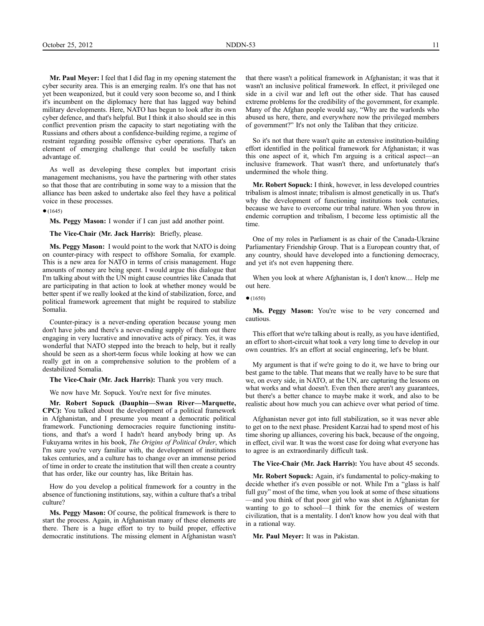**Mr. Paul Meyer:** I feel that I did flag in my opening statement the cyber security area. This is an emerging realm. It's one that has not yet been weaponized, but it could very soon become so, and I think it's incumbent on the diplomacy here that has lagged way behind military developments. Here, NATO has begun to look after its own cyber defence, and that's helpful. But I think it also should see in this conflict prevention prism the capacity to start negotiating with the Russians and others about a confidence-building regime, a regime of restraint regarding possible offensive cyber operations. That's an element of emerging challenge that could be usefully taken advantage of.

As well as developing these complex but important crisis management mechanisms, you have the partnering with other states so that those that are contributing in some way to a mission that the alliance has been asked to undertake also feel they have a political voice in these processes.

 $•(1645)$ 

**Ms. Peggy Mason:** I wonder if I can just add another point.

**The Vice-Chair (Mr. Jack Harris):** Briefly, please.

**Ms. Peggy Mason:** I would point to the work that NATO is doing on counter-piracy with respect to offshore Somalia, for example. This is a new area for NATO in terms of crisis management. Huge amounts of money are being spent. I would argue this dialogue that I'm talking about with the UN might cause countries like Canada that are participating in that action to look at whether money would be better spent if we really looked at the kind of stabilization, force, and political framework agreement that might be required to stabilize Somalia.

Counter-piracy is a never-ending operation because young men don't have jobs and there's a never-ending supply of them out there engaging in very lucrative and innovative acts of piracy. Yes, it was wonderful that NATO stepped into the breach to help, but it really should be seen as a short-term focus while looking at how we can really get in on a comprehensive solution to the problem of a destabilized Somalia.

**The Vice-Chair (Mr. Jack Harris):** Thank you very much.

We now have Mr. Sopuck. You're next for five minutes.

**Mr. Robert Sopuck (Dauphin—Swan River—Marquette, CPC):** You talked about the development of a political framework in Afghanistan, and I presume you meant a democratic political framework. Functioning democracies require functioning institutions, and that's a word I hadn't heard anybody bring up. As Fukuyama writes in his book, *The Origins of Political Order*, which I'm sure you're very familiar with, the development of institutions takes centuries, and a culture has to change over an immense period of time in order to create the institution that will then create a country that has order, like our country has, like Britain has.

How do you develop a political framework for a country in the absence of functioning institutions, say, within a culture that's a tribal culture?

**Ms. Peggy Mason:** Of course, the political framework is there to start the process. Again, in Afghanistan many of these elements are there. There is a huge effort to try to build proper, effective democratic institutions. The missing element in Afghanistan wasn't

that there wasn't a political framework in Afghanistan; it was that it wasn't an inclusive political framework. In effect, it privileged one side in a civil war and left out the other side. That has caused extreme problems for the credibility of the government, for example. Many of the Afghan people would say, "Why are the warlords who abused us here, there, and everywhere now the privileged members of government?" It's not only the Taliban that they criticize.

So it's not that there wasn't quite an extensive institution-building effort identified in the political framework for Afghanistan; it was this one aspect of it, which I'm arguing is a critical aspect—an inclusive framework. That wasn't there, and unfortunately that's undermined the whole thing.

**Mr. Robert Sopuck:** I think, however, in less developed countries tribalism is almost innate; tribalism is almost genetically in us. That's why the development of functioning institutions took centuries, because we have to overcome our tribal nature. When you throw in endemic corruption and tribalism, I become less optimistic all the time.

One of my roles in Parliament is as chair of the Canada-Ukraine Parliamentary Friendship Group. That is a European country that, of any country, should have developed into a functioning democracy, and yet it's not even happening there.

When you look at where Afghanistan is, I don't know.... Help me out here.

## ●(1650)

**Ms. Peggy Mason:** You're wise to be very concerned and cautious.

This effort that we're talking about is really, as you have identified, an effort to short-circuit what took a very long time to develop in our own countries. It's an effort at social engineering, let's be blunt.

My argument is that if we're going to do it, we have to bring our best game to the table. That means that we really have to be sure that we, on every side, in NATO, at the UN, are capturing the lessons on what works and what doesn't. Even then there aren't any guarantees, but there's a better chance to maybe make it work, and also to be realistic about how much you can achieve over what period of time.

Afghanistan never got into full stabilization, so it was never able to get on to the next phase. President Karzai had to spend most of his time shoring up alliances, covering his back, because of the ongoing, in effect, civil war. It was the worst case for doing what everyone has to agree is an extraordinarily difficult task.

**The Vice-Chair (Mr. Jack Harris):** You have about 45 seconds.

**Mr. Robert Sopuck:** Again, it's fundamental to policy-making to decide whether it's even possible or not. While I'm a "glass is half full guy" most of the time, when you look at some of these situations —and you think of that poor girl who was shot in Afghanistan for wanting to go to school—I think for the enemies of western civilization, that is a mentality. I don't know how you deal with that in a rational way.

**Mr. Paul Meyer:** It was in Pakistan.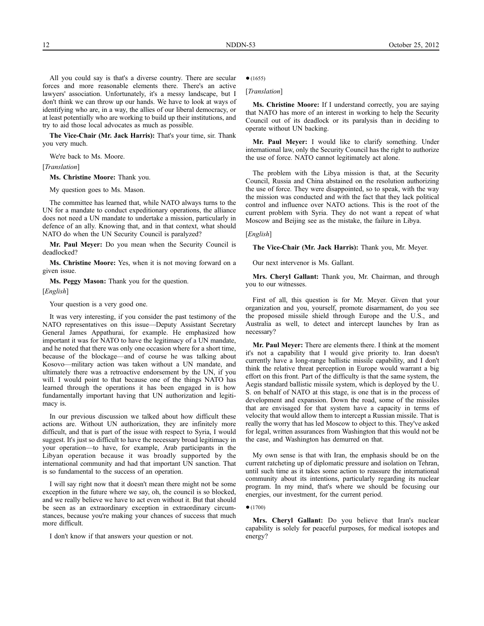All you could say is that's a diverse country. There are secular forces and more reasonable elements there. There's an active lawyers' association. Unfortunately, it's a messy landscape, but I don't think we can throw up our hands. We have to look at ways of identifying who are, in a way, the allies of our liberal democracy, or at least potentially who are working to build up their institutions, and try to aid those local advocates as much as possible.

**The Vice-Chair (Mr. Jack Harris):** That's your time, sir. Thank you very much.

We're back to Ms. Moore.

[*Translation*]

**Ms. Christine Moore:** Thank you.

My question goes to Ms. Mason.

The committee has learned that, while NATO always turns to the UN for a mandate to conduct expeditionary operations, the alliance does not need a UN mandate to undertake a mission, particularly in defence of an ally. Knowing that, and in that context, what should NATO do when the UN Security Council is paralyzed?

**Mr. Paul Meyer:** Do you mean when the Security Council is deadlocked?

**Ms. Christine Moore:** Yes, when it is not moving forward on a given issue.

**Ms. Peggy Mason:** Thank you for the question.

[*English*]

Your question is a very good one.

It was very interesting, if you consider the past testimony of the NATO representatives on this issue—Deputy Assistant Secretary General James Appathurai, for example. He emphasized how important it was for NATO to have the legitimacy of a UN mandate, and he noted that there was only one occasion where for a short time, because of the blockage—and of course he was talking about Kosovo—military action was taken without a UN mandate, and ultimately there was a retroactive endorsement by the UN, if you will. I would point to that because one of the things NATO has learned through the operations it has been engaged in is how fundamentally important having that UN authorization and legitimacy is.

In our previous discussion we talked about how difficult these actions are. Without UN authorization, they are infinitely more difficult, and that is part of the issue with respect to Syria, I would suggest. It's just so difficult to have the necessary broad legitimacy in your operation—to have, for example, Arab participants in the Libyan operation because it was broadly supported by the international community and had that important UN sanction. That is so fundamental to the success of an operation.

I will say right now that it doesn't mean there might not be some exception in the future where we say, oh, the council is so blocked, and we really believe we have to act even without it. But that should be seen as an extraordinary exception in extraordinary circumstances, because you're making your chances of success that much more difficult.

I don't know if that answers your question or not.

 $•(1655)$ 

[*Translation*]

**Ms. Christine Moore:** If I understand correctly, you are saying that NATO has more of an interest in working to help the Security Council out of its deadlock or its paralysis than in deciding to operate without UN backing.

**Mr. Paul Meyer:** I would like to clarify something. Under international law, only the Security Council has the right to authorize the use of force. NATO cannot legitimately act alone.

The problem with the Libya mission is that, at the Security Council, Russia and China abstained on the resolution authorizing the use of force. They were disappointed, so to speak, with the way the mission was conducted and with the fact that they lack political control and influence over NATO actions. This is the root of the current problem with Syria. They do not want a repeat of what Moscow and Beijing see as the mistake, the failure in Libya.

[*English*]

**The Vice-Chair (Mr. Jack Harris):** Thank you, Mr. Meyer.

Our next intervenor is Ms. Gallant.

**Mrs. Cheryl Gallant:** Thank you, Mr. Chairman, and through you to our witnesses.

First of all, this question is for Mr. Meyer. Given that your organization and you, yourself, promote disarmament, do you see the proposed missile shield through Europe and the U.S., and Australia as well, to detect and intercept launches by Iran as necessary?

**Mr. Paul Meyer:** There are elements there. I think at the moment it's not a capability that I would give priority to. Iran doesn't currently have a long-range ballistic missile capability, and I don't think the relative threat perception in Europe would warrant a big effort on this front. Part of the difficulty is that the same system, the Aegis standard ballistic missile system, which is deployed by the U. S. on behalf of NATO at this stage, is one that is in the process of development and expansion. Down the road, some of the missiles that are envisaged for that system have a capacity in terms of velocity that would allow them to intercept a Russian missile. That is really the worry that has led Moscow to object to this. They've asked for legal, written assurances from Washington that this would not be the case, and Washington has demurred on that.

My own sense is that with Iran, the emphasis should be on the current ratcheting up of diplomatic pressure and isolation on Tehran, until such time as it takes some action to reassure the international community about its intentions, particularly regarding its nuclear program. In my mind, that's where we should be focusing our energies, our investment, for the current period.

 $(1700)$ 

**Mrs. Cheryl Gallant:** Do you believe that Iran's nuclear capability is solely for peaceful purposes, for medical isotopes and energy?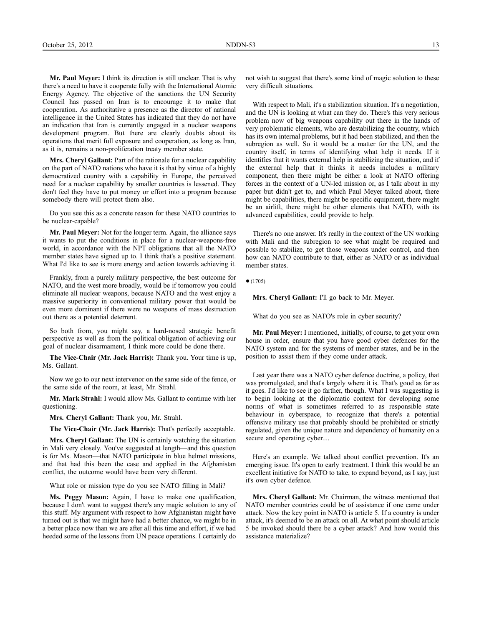**Mr. Paul Meyer:** I think its direction is still unclear. That is why there's a need to have it cooperate fully with the International Atomic Energy Agency. The objective of the sanctions the UN Security Council has passed on Iran is to encourage it to make that cooperation. As authoritative a presence as the director of national intelligence in the United States has indicated that they do not have an indication that Iran is currently engaged in a nuclear weapons development program. But there are clearly doubts about its operations that merit full exposure and cooperation, as long as Iran, as it is, remains a non-proliferation treaty member state.

**Mrs. Cheryl Gallant:** Part of the rationale for a nuclear capability on the part of NATO nations who have it is that by virtue of a highly democratized country with a capability in Europe, the perceived need for a nuclear capability by smaller countries is lessened. They don't feel they have to put money or effort into a program because somebody there will protect them also.

Do you see this as a concrete reason for these NATO countries to be nuclear-capable?

**Mr. Paul Meyer:** Not for the longer term. Again, the alliance says it wants to put the conditions in place for a nuclear-weapons-free world, in accordance with the NPT obligations that all the NATO member states have signed up to. I think that's a positive statement. What I'd like to see is more energy and action towards achieving it.

Frankly, from a purely military perspective, the best outcome for NATO, and the west more broadly, would be if tomorrow you could eliminate all nuclear weapons, because NATO and the west enjoy a massive superiority in conventional military power that would be even more dominant if there were no weapons of mass destruction out there as a potential deterrent.

So both from, you might say, a hard-nosed strategic benefit perspective as well as from the political obligation of achieving our goal of nuclear disarmament, I think more could be done there.

**The Vice-Chair (Mr. Jack Harris):** Thank you. Your time is up, Ms. Gallant.

Now we go to our next intervenor on the same side of the fence, or the same side of the room, at least, Mr. Strahl.

**Mr. Mark Strahl:** I would allow Ms. Gallant to continue with her questioning.

**Mrs. Cheryl Gallant:** Thank you, Mr. Strahl.

**The Vice-Chair (Mr. Jack Harris):** That's perfectly acceptable.

**Mrs. Cheryl Gallant:** The UN is certainly watching the situation in Mali very closely. You've suggested at length—and this question is for Ms. Mason—that NATO participate in blue helmet missions, and that had this been the case and applied in the Afghanistan conflict, the outcome would have been very different.

What role or mission type do you see NATO filling in Mali?

**Ms. Peggy Mason:** Again, I have to make one qualification, because I don't want to suggest there's any magic solution to any of this stuff. My argument with respect to how Afghanistan might have turned out is that we might have had a better chance, we might be in a better place now than we are after all this time and effort, if we had heeded some of the lessons from UN peace operations. I certainly do

not wish to suggest that there's some kind of magic solution to these very difficult situations.

With respect to Mali, it's a stabilization situation. It's a negotiation, and the UN is looking at what can they do. There's this very serious problem now of big weapons capability out there in the hands of very problematic elements, who are destabilizing the country, which has its own internal problems, but it had been stabilized, and then the subregion as well. So it would be a matter for the UN, and the country itself, in terms of identifying what help it needs. If it identifies that it wants external help in stabilizing the situation, and if the external help that it thinks it needs includes a military component, then there might be either a look at NATO offering forces in the context of a UN-led mission or, as I talk about in my paper but didn't get to, and which Paul Meyer talked about, there might be capabilities, there might be specific equipment, there might be an airlift, there might be other elements that NATO, with its advanced capabilities, could provide to help.

There's no one answer. It's really in the context of the UN working with Mali and the subregion to see what might be required and possible to stabilize, to get those weapons under control, and then how can NATO contribute to that, either as NATO or as individual member states.

 $•(1705)$ 

**Mrs. Cheryl Gallant:** I'll go back to Mr. Meyer.

What do you see as NATO's role in cyber security?

**Mr. Paul Meyer:** I mentioned, initially, of course, to get your own house in order, ensure that you have good cyber defences for the NATO system and for the systems of member states, and be in the position to assist them if they come under attack.

Last year there was a NATO cyber defence doctrine, a policy, that was promulgated, and that's largely where it is. That's good as far as it goes. I'd like to see it go farther, though. What I was suggesting is to begin looking at the diplomatic context for developing some norms of what is sometimes referred to as responsible state behaviour in cyberspace, to recognize that there's a potential offensive military use that probably should be prohibited or strictly regulated, given the unique nature and dependency of humanity on a secure and operating cyber....

Here's an example. We talked about conflict prevention. It's an emerging issue. It's open to early treatment. I think this would be an excellent initiative for NATO to take, to expand beyond, as I say, just it's own cyber defence.

**Mrs. Cheryl Gallant:** Mr. Chairman, the witness mentioned that NATO member countries could be of assistance if one came under attack. Now the key point in NATO is article 5. If a country is under attack, it's deemed to be an attack on all. At what point should article 5 be invoked should there be a cyber attack? And how would this assistance materialize?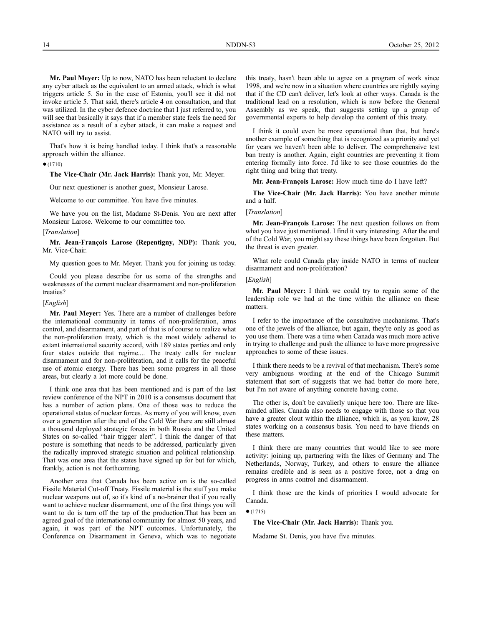**Mr. Paul Meyer:** Up to now, NATO has been reluctant to declare any cyber attack as the equivalent to an armed attack, which is what triggers article 5. So in the case of Estonia, you'll see it did not invoke article 5. That said, there's article 4 on consultation, and that was utilized. In the cyber defence doctrine that I just referred to, you will see that basically it says that if a member state feels the need for assistance as a result of a cyber attack, it can make a request and NATO will try to assist.

That's how it is being handled today. I think that's a reasonable approach within the alliance.

## $•(1710)$

**The Vice-Chair (Mr. Jack Harris):** Thank you, Mr. Meyer.

Our next questioner is another guest, Monsieur Larose.

Welcome to our committee. You have five minutes.

We have you on the list, Madame St-Denis. You are next after Monsieur Larose. Welcome to our committee too.

#### [*Translation*]

**Mr. Jean-François Larose (Repentigny, NDP):** Thank you, Mr. Vice-Chair.

My question goes to Mr. Meyer. Thank you for joining us today.

Could you please describe for us some of the strengths and weaknesses of the current nuclear disarmament and non-proliferation treaties?

#### [*English*]

**Mr. Paul Meyer:** Yes. There are a number of challenges before the international community in terms of non-proliferation, arms control, and disarmament, and part of that is of course to realize what the non-proliferation treaty, which is the most widely adhered to extant international security accord, with 189 states parties and only four states outside that regime.... The treaty calls for nuclear disarmament and for non-proliferation, and it calls for the peaceful use of atomic energy. There has been some progress in all those areas, but clearly a lot more could be done.

I think one area that has been mentioned and is part of the last review conference of the NPT in 2010 is a consensus document that has a number of action plans. One of those was to reduce the operational status of nuclear forces. As many of you will know, even over a generation after the end of the Cold War there are still almost a thousand deployed strategic forces in both Russia and the United States on so-called "hair trigger alert". I think the danger of that posture is something that needs to be addressed, particularly given the radically improved strategic situation and political relationship. That was one area that the states have signed up for but for which, frankly, action is not forthcoming.

Another area that Canada has been active on is the so-called Fissile Material Cut-off Treaty. Fissile material is the stuff you make nuclear weapons out of, so it's kind of a no-brainer that if you really want to achieve nuclear disarmament, one of the first things you will want to do is turn off the tap of the production.That has been an agreed goal of the international community for almost 50 years, and again, it was part of the NPT outcomes. Unfortunately, the Conference on Disarmament in Geneva, which was to negotiate

this treaty, hasn't been able to agree on a program of work since 1998, and we're now in a situation where countries are rightly saying that if the CD can't deliver, let's look at other ways. Canada is the traditional lead on a resolution, which is now before the General Assembly as we speak, that suggests setting up a group of governmental experts to help develop the content of this treaty.

I think it could even be more operational than that, but here's another example of something that is recognized as a priority and yet for years we haven't been able to deliver. The comprehensive test ban treaty is another. Again, eight countries are preventing it from entering formally into force. I'd like to see those countries do the right thing and bring that treaty.

**Mr. Jean-François Larose:** How much time do I have left?

**The Vice-Chair (Mr. Jack Harris):** You have another minute and a half.

### [*Translation*]

**Mr. Jean-François Larose:** The next question follows on from what you have just mentioned. I find it very interesting. After the end of the Cold War, you might say these things have been forgotten. But the threat is even greater.

What role could Canada play inside NATO in terms of nuclear disarmament and non-proliferation?

## [*English*]

**Mr. Paul Meyer:** I think we could try to regain some of the leadership role we had at the time within the alliance on these matters.

I refer to the importance of the consultative mechanisms. That's one of the jewels of the alliance, but again, they're only as good as you use them. There was a time when Canada was much more active in trying to challenge and push the alliance to have more progressive approaches to some of these issues.

I think there needs to be a revival of that mechanism. There's some very ambiguous wording at the end of the Chicago Summit statement that sort of suggests that we had better do more here, but I'm not aware of anything concrete having come.

The other is, don't be cavalierly unique here too. There are likeminded allies. Canada also needs to engage with those so that you have a greater clout within the alliance, which is, as you know, 28 states working on a consensus basis. You need to have friends on these matters.

I think there are many countries that would like to see more activity: joining up, partnering with the likes of Germany and The Netherlands, Norway, Turkey, and others to ensure the alliance remains credible and is seen as a positive force, not a drag on progress in arms control and disarmament.

I think those are the kinds of priorities I would advocate for Canada.

 $•(1715)$ 

**The Vice-Chair (Mr. Jack Harris):** Thank you.

Madame St. Denis, you have five minutes.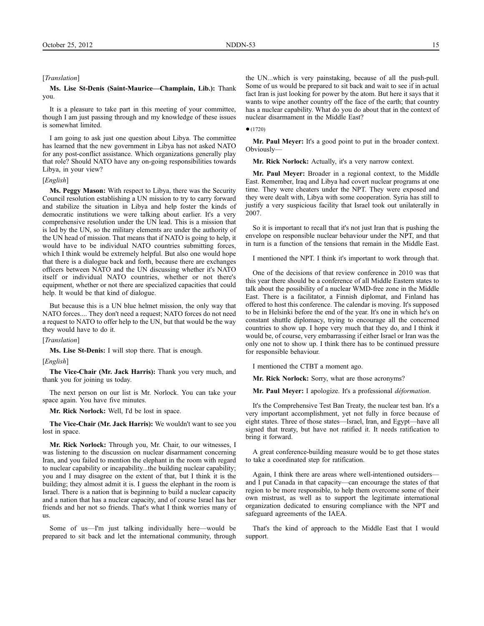#### [*Translation*]

## **Ms. Lise St-Denis (Saint-Maurice—Champlain, Lib.):** Thank you.

It is a pleasure to take part in this meeting of your committee, though I am just passing through and my knowledge of these issues is somewhat limited.

I am going to ask just one question about Libya. The committee has learned that the new government in Libya has not asked NATO for any post-conflict assistance. Which organizations generally play that role? Should NATO have any on-going responsibilities towards Libya, in your view?

## [*English*]

**Ms. Peggy Mason:** With respect to Libya, there was the Security Council resolution establishing a UN mission to try to carry forward and stabilize the situation in Libya and help foster the kinds of democratic institutions we were talking about earlier. It's a very comprehensive resolution under the UN lead. This is a mission that is led by the UN, so the military elements are under the authority of the UN head of mission. That means that if NATO is going to help, it would have to be individual NATO countries submitting forces, which I think would be extremely helpful. But also one would hope that there is a dialogue back and forth, because there are exchanges officers between NATO and the UN discussing whether it's NATO itself or individual NATO countries, whether or not there's equipment, whether or not there are specialized capacities that could help. It would be that kind of dialogue.

But because this is a UN blue helmet mission, the only way that NATO forces.... They don't need a request; NATO forces do not need a request to NATO to offer help to the UN, but that would be the way they would have to do it.

## [*Translation*]

**Ms. Lise St-Denis:** I will stop there. That is enough.

[*English*]

**The Vice-Chair (Mr. Jack Harris):** Thank you very much, and thank you for joining us today.

The next person on our list is Mr. Norlock. You can take your space again. You have five minutes.

**Mr. Rick Norlock:** Well, I'd be lost in space.

**The Vice-Chair (Mr. Jack Harris):** We wouldn't want to see you lost in space.

**Mr. Rick Norlock:** Through you, Mr. Chair, to our witnesses, I was listening to the discussion on nuclear disarmament concerning Iran, and you failed to mention the elephant in the room with regard to nuclear capability or incapability...the building nuclear capability; you and I may disagree on the extent of that, but I think it is the building; they almost admit it is. I guess the elephant in the room is Israel. There is a nation that is beginning to build a nuclear capacity and a nation that has a nuclear capacity, and of course Israel has her friends and her not so friends. That's what I think worries many of us.

Some of us—I'm just talking individually here—would be prepared to sit back and let the international community, through

the UN...which is very painstaking, because of all the push-pull. Some of us would be prepared to sit back and wait to see if in actual fact Iran is just looking for power by the atom. But here it says that it wants to wipe another country off the face of the earth; that country has a nuclear capability. What do you do about that in the context of nuclear disarmament in the Middle East?

## $(1720)$

**Mr. Paul Meyer:** It's a good point to put in the broader context. Obviously—

**Mr. Rick Norlock:** Actually, it's a very narrow context.

**Mr. Paul Meyer:** Broader in a regional context, to the Middle East. Remember, Iraq and Libya had covert nuclear programs at one time. They were cheaters under the NPT. They were exposed and they were dealt with, Libya with some cooperation. Syria has still to justify a very suspicious facility that Israel took out unilaterally in 2007.

So it is important to recall that it's not just Iran that is pushing the envelope on responsible nuclear behaviour under the NPT, and that in turn is a function of the tensions that remain in the Middle East.

I mentioned the NPT. I think it's important to work through that.

One of the decisions of that review conference in 2010 was that this year there should be a conference of all Middle Eastern states to talk about the possibility of a nuclear WMD-free zone in the Middle East. There is a facilitator, a Finnish diplomat, and Finland has offered to host this conference. The calendar is moving. It's supposed to be in Helsinki before the end of the year. It's one in which he's on constant shuttle diplomacy, trying to encourage all the concerned countries to show up. I hope very much that they do, and I think it would be, of course, very embarrassing if either Israel or Iran was the only one not to show up. I think there has to be continued pressure for responsible behaviour.

I mentioned the CTBT a moment ago.

**Mr. Rick Norlock:** Sorry, what are those acronyms?

**Mr. Paul Meyer:** I apologize. It's a professional *déformation*.

It's the Comprehensive Test Ban Treaty, the nuclear test ban. It's a very important accomplishment, yet not fully in force because of eight states. Three of those states—Israel, Iran, and Egypt—have all signed that treaty, but have not ratified it. It needs ratification to bring it forward.

A great conference-building measure would be to get those states to take a coordinated step for ratification.

Again, I think there are areas where well-intentioned outsiders and I put Canada in that capacity—can encourage the states of that region to be more responsible, to help them overcome some of their own mistrust, as well as to support the legitimate international organization dedicated to ensuring compliance with the NPT and safeguard agreements of the IAEA.

That's the kind of approach to the Middle East that I would support.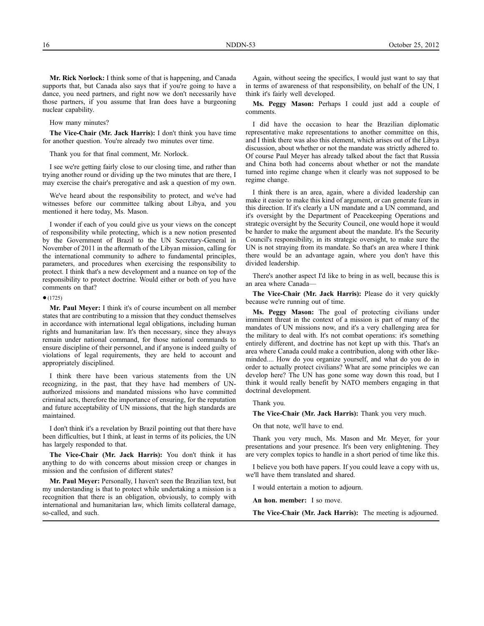**Mr. Rick Norlock:** I think some of that is happening, and Canada supports that, but Canada also says that if you're going to have a dance, you need partners, and right now we don't necessarily have those partners, if you assume that Iran does have a burgeoning nuclear capability.

How many minutes?

**The Vice-Chair (Mr. Jack Harris):** I don't think you have time for another question. You're already two minutes over time.

Thank you for that final comment, Mr. Norlock.

I see we're getting fairly close to our closing time, and rather than trying another round or dividing up the two minutes that are there, I may exercise the chair's prerogative and ask a question of my own.

We've heard about the responsibility to protect, and we've had witnesses before our committee talking about Libya, and you mentioned it here today, Ms. Mason.

I wonder if each of you could give us your views on the concept of responsibility while protecting, which is a new notion presented by the Government of Brazil to the UN Secretary-General in November of 2011 in the aftermath of the Libyan mission, calling for the international community to adhere to fundamental principles, parameters, and procedures when exercising the responsibility to protect. I think that's a new development and a nuance on top of the responsibility to protect doctrine. Would either or both of you have comments on that?

#### ●(1725)

**Mr. Paul Meyer:** I think it's of course incumbent on all member states that are contributing to a mission that they conduct themselves in accordance with international legal obligations, including human rights and humanitarian law. It's then necessary, since they always remain under national command, for those national commands to ensure discipline of their personnel, and if anyone is indeed guilty of violations of legal requirements, they are held to account and appropriately disciplined.

I think there have been various statements from the UN recognizing, in the past, that they have had members of UNauthorized missions and mandated missions who have committed criminal acts, therefore the importance of ensuring, for the reputation and future acceptability of UN missions, that the high standards are maintained.

I don't think it's a revelation by Brazil pointing out that there have been difficulties, but I think, at least in terms of its policies, the UN has largely responded to that.

**The Vice-Chair (Mr. Jack Harris):** You don't think it has anything to do with concerns about mission creep or changes in mission and the confusion of different states?

**Mr. Paul Meyer:** Personally, I haven't seen the Brazilian text, but my understanding is that to protect while undertaking a mission is a recognition that there is an obligation, obviously, to comply with international and humanitarian law, which limits collateral damage, so-called, and such.

Again, without seeing the specifics, I would just want to say that in terms of awareness of that responsibility, on behalf of the UN, I think it's fairly well developed.

**Ms. Peggy Mason:** Perhaps I could just add a couple of comments.

I did have the occasion to hear the Brazilian diplomatic representative make representations to another committee on this, and I think there was also this element, which arises out of the Libya discussion, about whether or not the mandate was strictly adhered to. Of course Paul Meyer has already talked about the fact that Russia and China both had concerns about whether or not the mandate turned into regime change when it clearly was not supposed to be regime change.

I think there is an area, again, where a divided leadership can make it easier to make this kind of argument, or can generate fears in this direction. If it's clearly a UN mandate and a UN command, and it's oversight by the Department of Peacekeeping Operations and strategic oversight by the Security Council, one would hope it would be harder to make the argument about the mandate. It's the Security Council's responsibility, in its strategic oversight, to make sure the UN is not straying from its mandate. So that's an area where I think there would be an advantage again, where you don't have this divided leadership.

There's another aspect I'd like to bring in as well, because this is an area where Canada—

**The Vice-Chair (Mr. Jack Harris):** Please do it very quickly because we're running out of time.

**Ms. Peggy Mason:** The goal of protecting civilians under imminent threat in the context of a mission is part of many of the mandates of UN missions now, and it's a very challenging area for the military to deal with. It's not combat operations: it's something entirely different, and doctrine has not kept up with this. That's an area where Canada could make a contribution, along with other likeminded.... How do you organize yourself, and what do you do in order to actually protect civilians? What are some principles we can develop here? The UN has gone some way down this road, but I think it would really benefit by NATO members engaging in that doctrinal development.

## Thank you.

**The Vice-Chair (Mr. Jack Harris):** Thank you very much.

On that note, we'll have to end.

Thank you very much, Ms. Mason and Mr. Meyer, for your presentations and your presence. It's been very enlightening. They are very complex topics to handle in a short period of time like this.

I believe you both have papers. If you could leave a copy with us, we'll have them translated and shared.

I would entertain a motion to adjourn.

**An hon. member:** I so move.

**The Vice-Chair (Mr. Jack Harris):** The meeting is adjourned.